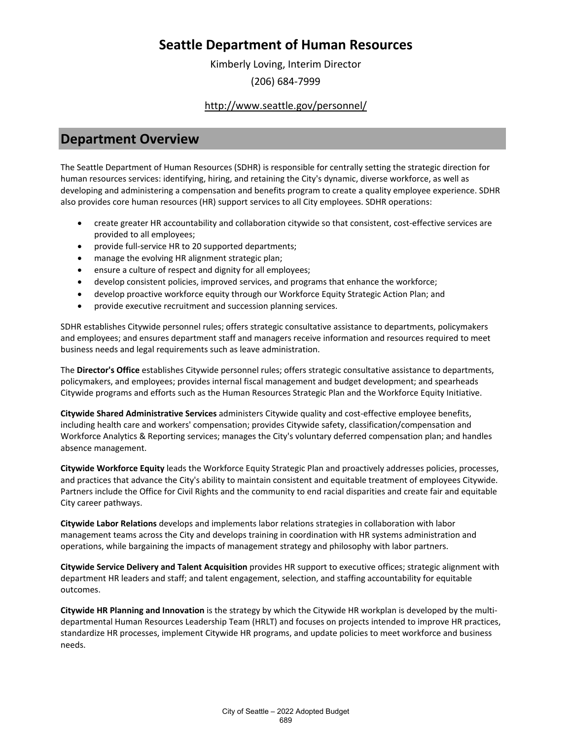Kimberly Loving, Interim Director (206) 684-7999

<http://www.seattle.gov/personnel/>

### **Department Overview**

The Seattle Department of Human Resources (SDHR) is responsible for centrally setting the strategic direction for human resources services: identifying, hiring, and retaining the City's dynamic, diverse workforce, as well as developing and administering a compensation and benefits program to create a quality employee experience. SDHR also provides core human resources (HR) support services to all City employees. SDHR operations:

- create greater HR accountability and collaboration citywide so that consistent, cost-effective services are provided to all employees;
- provide full-service HR to 20 supported departments;
- manage the evolving HR alignment strategic plan;
- ensure a culture of respect and dignity for all employees;
- develop consistent policies, improved services, and programs that enhance the workforce;
- develop proactive workforce equity through our Workforce Equity Strategic Action Plan; and
- provide executive recruitment and succession planning services.

SDHR establishes Citywide personnel rules; offers strategic consultative assistance to departments, policymakers and employees; and ensures department staff and managers receive information and resources required to meet business needs and legal requirements such as leave administration.

The **Director's Office** establishes Citywide personnel rules; offers strategic consultative assistance to departments, policymakers, and employees; provides internal fiscal management and budget development; and spearheads Citywide programs and efforts such as the Human Resources Strategic Plan and the Workforce Equity Initiative.

**Citywide Shared Administrative Services** administers Citywide quality and cost-effective employee benefits, including health care and workers' compensation; provides Citywide safety, classification/compensation and Workforce Analytics & Reporting services; manages the City's voluntary deferred compensation plan; and handles absence management.

**Citywide Workforce Equity** leads the Workforce Equity Strategic Plan and proactively addresses policies, processes, and practices that advance the City's ability to maintain consistent and equitable treatment of employees Citywide. Partners include the Office for Civil Rights and the community to end racial disparities and create fair and equitable City career pathways.

**Citywide Labor Relations** develops and implements labor relations strategies in collaboration with labor management teams across the City and develops training in coordination with HR systems administration and operations, while bargaining the impacts of management strategy and philosophy with labor partners.

**Citywide Service Delivery and Talent Acquisition** provides HR support to executive offices; strategic alignment with department HR leaders and staff; and talent engagement, selection, and staffing accountability for equitable outcomes.

**Citywide HR Planning and Innovation** is the strategy by which the Citywide HR workplan is developed by the multidepartmental Human Resources Leadership Team (HRLT) and focuses on projects intended to improve HR practices, standardize HR processes, implement Citywide HR programs, and update policies to meet workforce and business needs.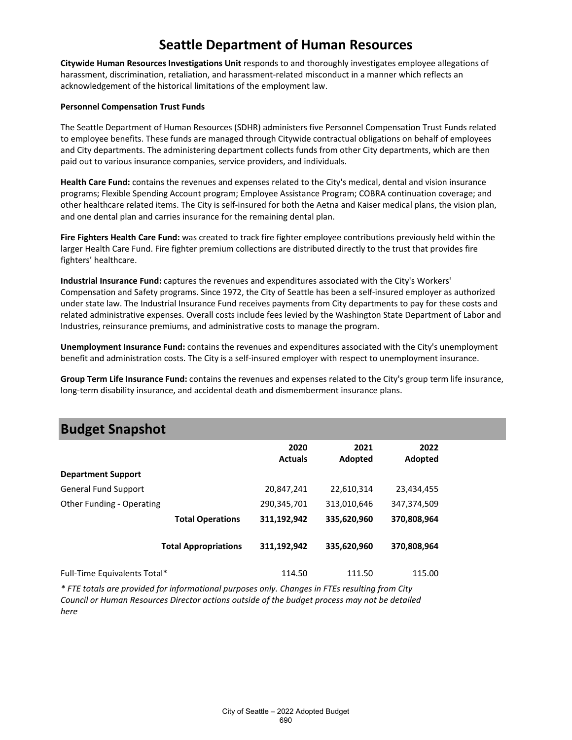**Citywide Human Resources Investigations Unit** responds to and thoroughly investigates employee allegations of harassment, discrimination, retaliation, and harassment-related misconduct in a manner which reflects an acknowledgement of the historical limitations of the employment law.

#### **Personnel Compensation Trust Funds**

The Seattle Department of Human Resources (SDHR) administers five Personnel Compensation Trust Funds related to employee benefits. These funds are managed through Citywide contractual obligations on behalf of employees and City departments. The administering department collects funds from other City departments, which are then paid out to various insurance companies, service providers, and individuals.

**Health Care Fund:** contains the revenues and expenses related to the City's medical, dental and vision insurance programs; Flexible Spending Account program; Employee Assistance Program; COBRA continuation coverage; and other healthcare related items. The City is self-insured for both the Aetna and Kaiser medical plans, the vision plan, and one dental plan and carries insurance for the remaining dental plan.

**Fire Fighters Health Care Fund:** was created to track fire fighter employee contributions previously held within the larger Health Care Fund. Fire fighter premium collections are distributed directly to the trust that provides fire fighters' healthcare.

**Industrial Insurance Fund:** captures the revenues and expenditures associated with the City's Workers' Compensation and Safety programs. Since 1972, the City of Seattle has been a self-insured employer as authorized under state law. The Industrial Insurance Fund receives payments from City departments to pay for these costs and related administrative expenses. Overall costs include fees levied by the Washington State Department of Labor and Industries, reinsurance premiums, and administrative costs to manage the program.

**Unemployment Insurance Fund:** contains the revenues and expenditures associated with the City's unemployment benefit and administration costs. The City is a self-insured employer with respect to unemployment insurance.

**Group Term Life Insurance Fund:** contains the revenues and expenses related to the City's group term life insurance, long-term disability insurance, and accidental death and dismemberment insurance plans.

### **Budget Snapshot**

|                              | 2020<br><b>Actuals</b> | 2021<br>Adopted | 2022<br>Adopted |
|------------------------------|------------------------|-----------------|-----------------|
| <b>Department Support</b>    |                        |                 |                 |
| <b>General Fund Support</b>  | 20,847,241             | 22,610,314      | 23,434,455      |
| Other Funding - Operating    | 290,345,701            | 313,010,646     | 347,374,509     |
| <b>Total Operations</b>      | 311,192,942            | 335,620,960     | 370,808,964     |
| <b>Total Appropriations</b>  | 311,192,942            | 335,620,960     | 370,808,964     |
| Full-Time Equivalents Total* | 114.50                 | 111.50          | 115.00          |

*\* FTE totals are provided for informational purposes only. Changes in FTEs resulting from City Council or Human Resources Director actions outside of the budget process may not be detailed here*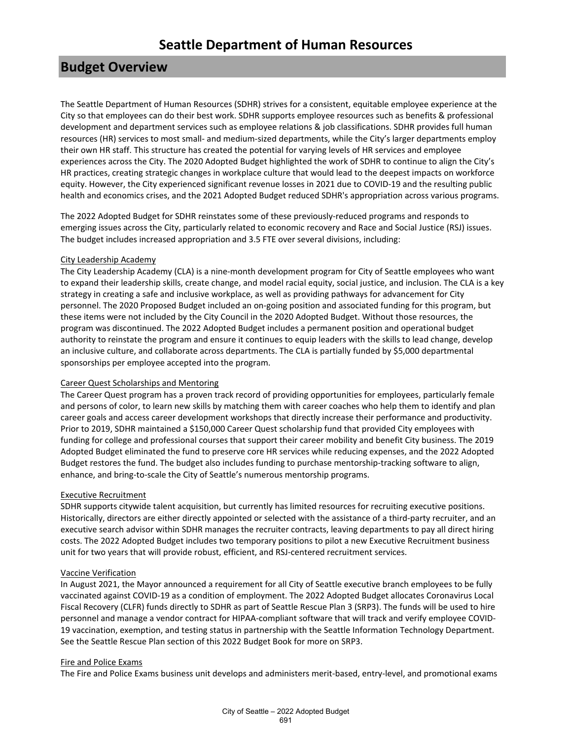# **Budget Overview**

The Seattle Department of Human Resources (SDHR) strives for a consistent, equitable employee experience at the City so that employees can do their best work. SDHR supports employee resources such as benefits & professional development and department services such as employee relations & job classifications. SDHR provides full human resources (HR) services to most small- and medium-sized departments, while the City's larger departments employ their own HR staff. This structure has created the potential for varying levels of HR services and employee experiences across the City. The 2020 Adopted Budget highlighted the work of SDHR to continue to align the City's HR practices, creating strategic changes in workplace culture that would lead to the deepest impacts on workforce equity. However, the City experienced significant revenue losses in 2021 due to COVID-19 and the resulting public health and economics crises, and the 2021 Adopted Budget reduced SDHR's appropriation across various programs.

The 2022 Adopted Budget for SDHR reinstates some of these previously-reduced programs and responds to emerging issues across the City, particularly related to economic recovery and Race and Social Justice (RSJ) issues. The budget includes increased appropriation and 3.5 FTE over several divisions, including:

### City Leadership Academy

The City Leadership Academy (CLA) is a nine-month development program for City of Seattle employees who want to expand their leadership skills, create change, and model racial equity, social justice, and inclusion. The CLA is a key strategy in creating a safe and inclusive workplace, as well as providing pathways for advancement for City personnel. The 2020 Proposed Budget included an on-going position and associated funding for this program, but these items were not included by the City Council in the 2020 Adopted Budget. Without those resources, the program was discontinued. The 2022 Adopted Budget includes a permanent position and operational budget authority to reinstate the program and ensure it continues to equip leaders with the skills to lead change, develop an inclusive culture, and collaborate across departments. The CLA is partially funded by \$5,000 departmental sponsorships per employee accepted into the program.

### Career Quest Scholarships and Mentoring

The Career Quest program has a proven track record of providing opportunities for employees, particularly female and persons of color, to learn new skills by matching them with career coaches who help them to identify and plan career goals and access career development workshops that directly increase their performance and productivity. Prior to 2019, SDHR maintained a \$150,000 Career Quest scholarship fund that provided City employees with funding for college and professional courses that support their career mobility and benefit City business. The 2019 Adopted Budget eliminated the fund to preserve core HR services while reducing expenses, and the 2022 Adopted Budget restores the fund. The budget also includes funding to purchase mentorship-tracking software to align, enhance, and bring-to-scale the City of Seattle's numerous mentorship programs.

### Executive Recruitment

SDHR supports citywide talent acquisition, but currently has limited resources for recruiting executive positions. Historically, directors are either directly appointed or selected with the assistance of a third-party recruiter, and an executive search advisor within SDHR manages the recruiter contracts, leaving departments to pay all direct hiring costs. The 2022 Adopted Budget includes two temporary positions to pilot a new Executive Recruitment business unit for two years that will provide robust, efficient, and RSJ-centered recruitment services.

### Vaccine Verification

In August 2021, the Mayor announced a requirement for all City of Seattle executive branch employees to be fully vaccinated against COVID-19 as a condition of employment. The 2022 Adopted Budget allocates Coronavirus Local Fiscal Recovery (CLFR) funds directly to SDHR as part of Seattle Rescue Plan 3 (SRP3). The funds will be used to hire personnel and manage a vendor contract for HIPAA-compliant software that will track and verify employee COVID-19 vaccination, exemption, and testing status in partnership with the Seattle Information Technology Department. See the Seattle Rescue Plan section of this 2022 Budget Book for more on SRP3.

### Fire and Police Exams

The Fire and Police Exams business unit develops and administers merit-based, entry-level, and promotional exams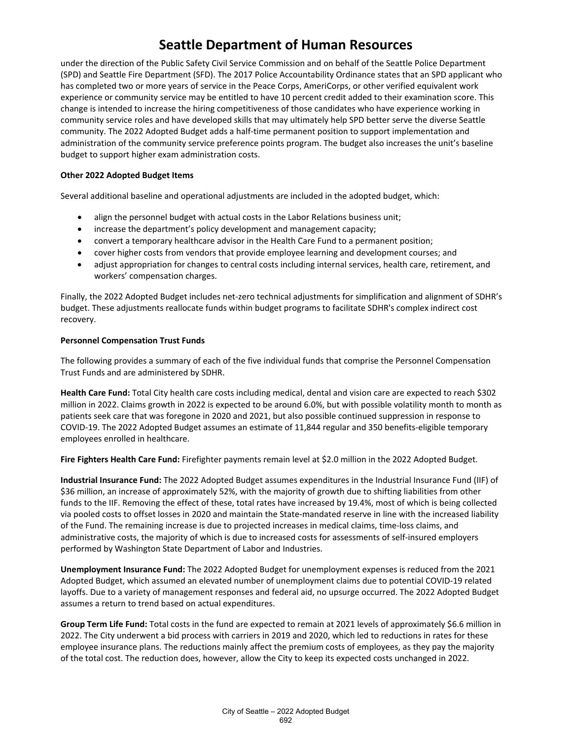under the direction of the Public Safety Civil Service Commission and on behalf of the Seattle Police Department (SPD) and Seattle Fire Department (SFD). The 2017 Police Accountability Ordinance states that an SPD applicant who has completed two or more years of service in the Peace Corps, AmeriCorps, or other verified equivalent work experience or community service may be entitled to have 10 percent credit added to their examination score. This change is intended to increase the hiring competitiveness of those candidates who have experience working in community service roles and have developed skills that may ultimately help SPD better serve the diverse Seattle community. The 2022 Adopted Budget adds a half-time permanent position to support implementation and administration of the community service preference points program. The budget also increases the unit's baseline budget to support higher exam administration costs.

### **Other 2022 Adopted Budget Items**

Several additional baseline and operational adjustments are included in the adopted budget, which:

- align the personnel budget with actual costs in the Labor Relations business unit;
- increase the department's policy development and management capacity;
- convert a temporary healthcare advisor in the Health Care Fund to a permanent position;
- cover higher costs from vendors that provide employee learning and development courses; and
- adjust appropriation for changes to central costs including internal services, health care, retirement, and workers' compensation charges.

Finally, the 2022 Adopted Budget includes net-zero technical adjustments for simplification and alignment of SDHR's budget. These adjustments reallocate funds within budget programs to facilitate SDHR's complex indirect cost recovery.

#### **Personnel Compensation Trust Funds**

The following provides a summary of each of the five individual funds that comprise the Personnel Compensation Trust Funds and are administered by SDHR.

**Health Care Fund:** Total City health care costs including medical, dental and vision care are expected to reach \$302 million in 2022. Claims growth in 2022 is expected to be around 6.0%, but with possible volatility month to month as patients seek care that was foregone in 2020 and 2021, but also possible continued suppression in response to COVID-19. The 2022 Adopted Budget assumes an estimate of 11,844 regular and 350 benefits-eligible temporary employees enrolled in healthcare.

**Fire Fighters Health Care Fund:** Firefighter payments remain level at \$2.0 million in the 2022 Adopted Budget.

**Industrial Insurance Fund:** The 2022 Adopted Budget assumes expenditures in the Industrial Insurance Fund (IIF) of \$36 million, an increase of approximately 52%, with the majority of growth due to shifting liabilities from other funds to the IIF. Removing the effect of these, total rates have increased by 19.4%, most of which is being collected via pooled costs to offset losses in 2020 and maintain the State-mandated reserve in line with the increased liability of the Fund. The remaining increase is due to projected increases in medical claims, time-loss claims, and administrative costs, the majority of which is due to increased costs for assessments of self-insured employers performed by Washington State Department of Labor and Industries.

**Unemployment Insurance Fund:** The 2022 Adopted Budget for unemployment expenses is reduced from the 2021 Adopted Budget, which assumed an elevated number of unemployment claims due to potential COVID-19 related layoffs. Due to a variety of management responses and federal aid, no upsurge occurred. The 2022 Adopted Budget assumes a return to trend based on actual expenditures.

**Group Term Life Fund:** Total costs in the fund are expected to remain at 2021 levels of approximately \$6.6 million in 2022. The City underwent a bid process with carriers in 2019 and 2020, which led to reductions in rates for these employee insurance plans. The reductions mainly affect the premium costs of employees, as they pay the majority of the total cost. The reduction does, however, allow the City to keep its expected costs unchanged in 2022.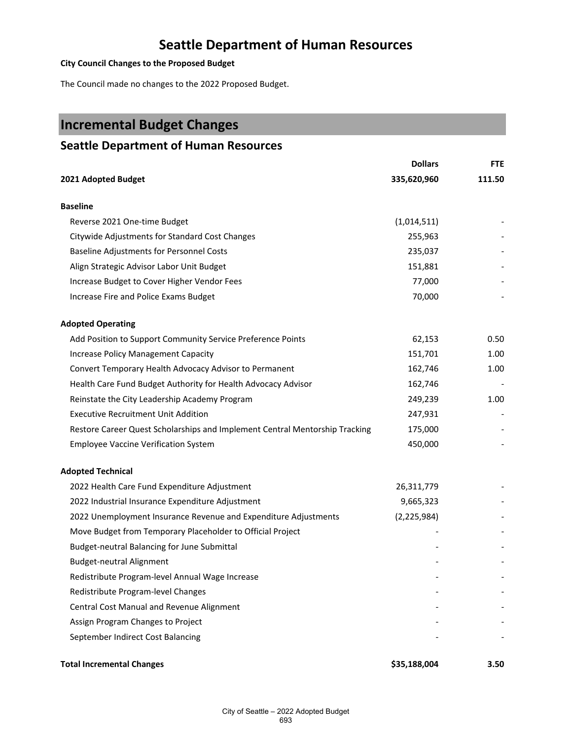### **City Council Changes to the Proposed Budget**

The Council made no changes to the 2022 Proposed Budget.

# **Incremental Budget Changes**

### **Seattle Department of Human Resources**

|                                                                             | <b>Dollars</b> | <b>FTE</b> |
|-----------------------------------------------------------------------------|----------------|------------|
| 2021 Adopted Budget                                                         | 335,620,960    | 111.50     |
| <b>Baseline</b>                                                             |                |            |
| Reverse 2021 One-time Budget                                                | (1,014,511)    |            |
| Citywide Adjustments for Standard Cost Changes                              | 255,963        |            |
| Baseline Adjustments for Personnel Costs                                    | 235,037        |            |
| Align Strategic Advisor Labor Unit Budget                                   | 151,881        |            |
| Increase Budget to Cover Higher Vendor Fees                                 | 77,000         |            |
| Increase Fire and Police Exams Budget                                       | 70,000         |            |
| <b>Adopted Operating</b>                                                    |                |            |
| Add Position to Support Community Service Preference Points                 | 62,153         | 0.50       |
| <b>Increase Policy Management Capacity</b>                                  | 151,701        | 1.00       |
| Convert Temporary Health Advocacy Advisor to Permanent                      | 162,746        | 1.00       |
| Health Care Fund Budget Authority for Health Advocacy Advisor               | 162,746        |            |
| Reinstate the City Leadership Academy Program                               | 249,239        | 1.00       |
| <b>Executive Recruitment Unit Addition</b>                                  | 247,931        |            |
| Restore Career Quest Scholarships and Implement Central Mentorship Tracking | 175,000        |            |
| <b>Employee Vaccine Verification System</b>                                 | 450,000        |            |
| <b>Adopted Technical</b>                                                    |                |            |
| 2022 Health Care Fund Expenditure Adjustment                                | 26,311,779     |            |
| 2022 Industrial Insurance Expenditure Adjustment                            | 9,665,323      |            |
| 2022 Unemployment Insurance Revenue and Expenditure Adjustments             | (2, 225, 984)  |            |
| Move Budget from Temporary Placeholder to Official Project                  |                |            |
| Budget-neutral Balancing for June Submittal                                 |                |            |
| <b>Budget-neutral Alignment</b>                                             |                |            |
| Redistribute Program-level Annual Wage Increase                             |                |            |
| Redistribute Program-level Changes                                          |                |            |
| Central Cost Manual and Revenue Alignment                                   |                |            |
| Assign Program Changes to Project                                           |                |            |
| September Indirect Cost Balancing                                           |                |            |
|                                                                             |                |            |

### **Total Incremental Changes \$35,188,004 3.50**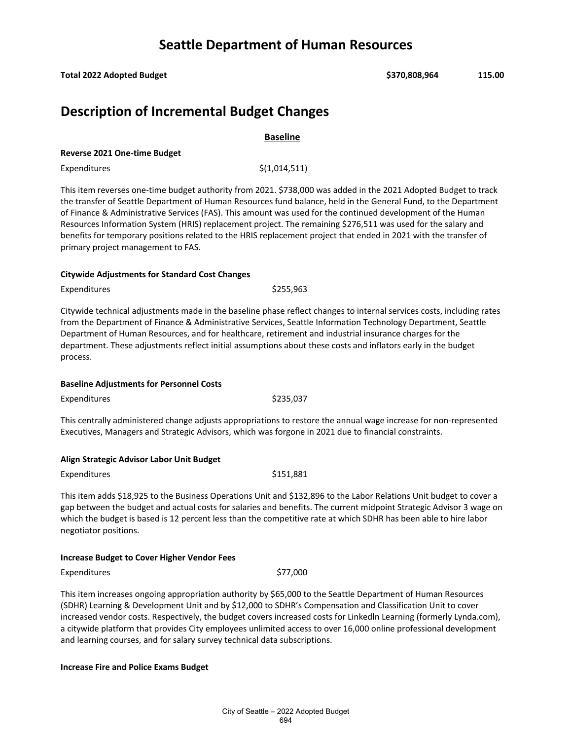**Total 2022 Adopted Budget \$370,808,964 115.00**

## **Description of Incremental Budget Changes**

**Baseline**

### **Reverse 2021 One-time Budget**

 $Expenditures$   $\zeta(1,014,511)$ 

This item reverses one-time budget authority from 2021. \$738,000 was added in the 2021 Adopted Budget to track the transfer of Seattle Department of Human Resources fund balance, held in the General Fund, to the Department of Finance & Administrative Services (FAS). This amount was used for the continued development of the Human Resources Information System (HRIS) replacement project. The remaining \$276,511 was used for the salary and benefits for temporary positions related to the HRIS replacement project that ended in 2021 with the transfer of primary project management to FAS.

### **Citywide Adjustments for Standard Cost Changes**

Expenditures \$255,963

Citywide technical adjustments made in the baseline phase reflect changes to internal services costs, including rates from the Department of Finance & Administrative Services, Seattle Information Technology Department, Seattle Department of Human Resources, and for healthcare, retirement and industrial insurance charges for the department. These adjustments reflect initial assumptions about these costs and inflators early in the budget process.

### **Baseline Adjustments for Personnel Costs**

Expenditures \$235,037

This centrally administered change adjusts appropriations to restore the annual wage increase for non-represented Executives, Managers and Strategic Advisors, which was forgone in 2021 due to financial constraints.

### **Align Strategic Advisor Labor Unit Budget**

Expenditures \$151,881

This item adds \$18,925 to the Business Operations Unit and \$132,896 to the Labor Relations Unit budget to cover a gap between the budget and actual costs for salaries and benefits. The current midpoint Strategic Advisor 3 wage on which the budget is based is 12 percent less than the competitive rate at which SDHR has been able to hire labor negotiator positions.

### **Increase Budget to Cover Higher Vendor Fees**

Expenditures \$77,000

This item increases ongoing appropriation authority by \$65,000 to the Seattle Department of Human Resources (SDHR) Learning & Development Unit and by \$12,000 to SDHR's Compensation and Classification Unit to cover increased vendor costs. Respectively, the budget covers increased costs for Linkedln Learning (formerly Lynda.com), a citywide platform that provides City employees unlimited access to over 16,000 online professional development and learning courses, and for salary survey technical data subscriptions.

### **Increase Fire and Police Exams Budget**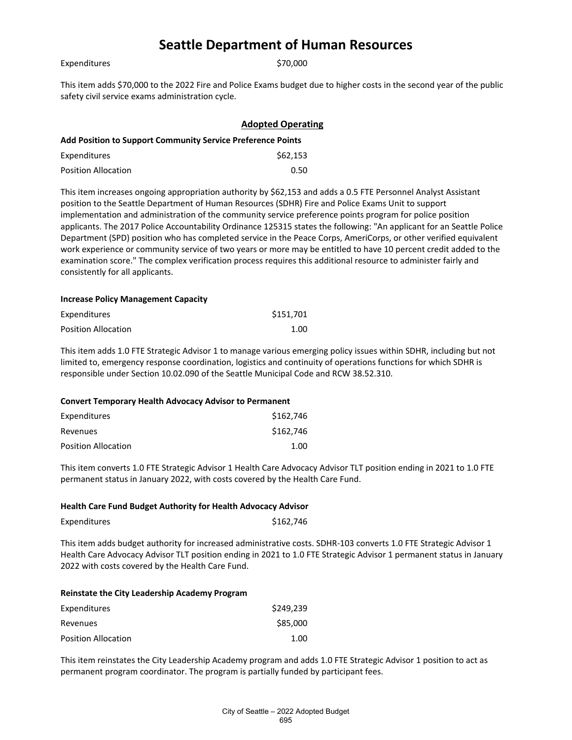|  | Expenditures |  |
|--|--------------|--|

\$70,000

This item adds \$70,000 to the 2022 Fire and Police Exams budget due to higher costs in the second year of the public safety civil service exams administration cycle.

|                                                                    | <b>Adopted Operating</b> |  |
|--------------------------------------------------------------------|--------------------------|--|
| <b>Add Position to Support Community Service Preference Points</b> |                          |  |
| Expenditures                                                       | \$62,153                 |  |
| <b>Position Allocation</b>                                         | 0.50                     |  |

This item increases ongoing appropriation authority by \$62,153 and adds a 0.5 FTE Personnel Analyst Assistant position to the Seattle Department of Human Resources (SDHR) Fire and Police Exams Unit to support implementation and administration of the community service preference points program for police position applicants. The 2017 Police Accountability Ordinance 125315 states the following: "An applicant for an Seattle Police Department (SPD) position who has completed service in the Peace Corps, AmeriCorps, or other verified equivalent work experience or community service of two years or more may be entitled to have 10 percent credit added to the examination score." The complex verification process requires this additional resource to administer fairly and consistently for all applicants.

#### **Increase Policy Management Capacity**

| Expenditures        | \$151,701 |
|---------------------|-----------|
| Position Allocation | 1.00      |

This item adds 1.0 FTE Strategic Advisor 1 to manage various emerging policy issues within SDHR, including but not limited to, emergency response coordination, logistics and continuity of operations functions for which SDHR is responsible under Section 10.02.090 of the Seattle Municipal Code and RCW 38.52.310.

#### **Convert Temporary Health Advocacy Advisor to Permanent**

| Expenditures               | \$162,746 |
|----------------------------|-----------|
| Revenues                   | \$162,746 |
| <b>Position Allocation</b> | 1.00      |

This item converts 1.0 FTE Strategic Advisor 1 Health Care Advocacy Advisor TLT position ending in 2021 to 1.0 FTE permanent status in January 2022, with costs covered by the Health Care Fund.

#### **Health Care Fund Budget Authority for Health Advocacy Advisor**

| Expenditures | \$162,746 |
|--------------|-----------|
|--------------|-----------|

This item adds budget authority for increased administrative costs. SDHR-103 converts 1.0 FTE Strategic Advisor 1 Health Care Advocacy Advisor TLT position ending in 2021 to 1.0 FTE Strategic Advisor 1 permanent status in January 2022 with costs covered by the Health Care Fund.

#### **Reinstate the City Leadership Academy Program**

| Expenditures               | \$249.239 |
|----------------------------|-----------|
| Revenues                   | \$85,000  |
| <b>Position Allocation</b> | 1.00      |

This item reinstates the City Leadership Academy program and adds 1.0 FTE Strategic Advisor 1 position to act as permanent program coordinator. The program is partially funded by participant fees.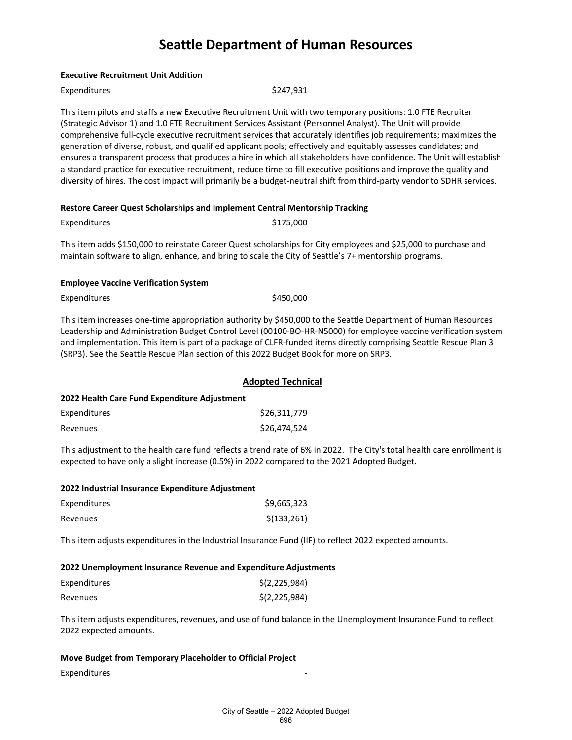This item pilots and staffs a new Executive Recruitment Unit with two temporary positions: 1.0 FTE Recruiter (Strategic Advisor 1) and 1.0 FTE Recruitment Services Assistant (Personnel Analyst). The Unit will provide

comprehensive full-cycle executive recruitment services that accurately identifies job requirements; maximizes the

|                                                                                                                                                                                                                          | generation of diverse, robust, and qualified applicant pools; effectively and equitably assesses candidates; and<br>ensures a transparent process that produces a hire in which all stakeholders have confidence. The Unit will establish<br>a standard practice for executive recruitment, reduce time to fill executive positions and improve the quality and<br>diversity of hires. The cost impact will primarily be a budget-neutral shift from third-party vendor to SDHR services. |  |  |
|--------------------------------------------------------------------------------------------------------------------------------------------------------------------------------------------------------------------------|-------------------------------------------------------------------------------------------------------------------------------------------------------------------------------------------------------------------------------------------------------------------------------------------------------------------------------------------------------------------------------------------------------------------------------------------------------------------------------------------|--|--|
|                                                                                                                                                                                                                          | Restore Career Quest Scholarships and Implement Central Mentorship Tracking                                                                                                                                                                                                                                                                                                                                                                                                               |  |  |
| Expenditures                                                                                                                                                                                                             | \$175,000                                                                                                                                                                                                                                                                                                                                                                                                                                                                                 |  |  |
| This item adds \$150,000 to reinstate Career Quest scholarships for City employees and \$25,000 to purchase and<br>maintain software to align, enhance, and bring to scale the City of Seattle's 7+ mentorship programs. |                                                                                                                                                                                                                                                                                                                                                                                                                                                                                           |  |  |
| <b>Employee Vaccine Verification System</b>                                                                                                                                                                              |                                                                                                                                                                                                                                                                                                                                                                                                                                                                                           |  |  |
| Expenditures                                                                                                                                                                                                             | \$450,000                                                                                                                                                                                                                                                                                                                                                                                                                                                                                 |  |  |
|                                                                                                                                                                                                                          | This item increases one-time appropriation authority by \$450,000 to the Seattle Department of Human Resources<br>Leadership and Administration Budget Control Level (00100-BO-HR-N5000) for employee vaccine verification system<br>and implementation. This item is part of a package of CLFR-funded items directly comprising Seattle Rescue Plan 3<br>(SRP3). See the Seattle Rescue Plan section of this 2022 Budget Book for more on SRP3.                                          |  |  |

|                                              | <b>Adopted Technical</b> |  |
|----------------------------------------------|--------------------------|--|
| 2022 Health Care Fund Expenditure Adjustment |                          |  |
| Expenditures                                 | \$26.311.779             |  |
| Revenues                                     | \$26,474,524             |  |

This adjustment to the health care fund reflects a trend rate of 6% in 2022. The City's total health care enrollment is expected to have only a slight increase (0.5%) in 2022 compared to the 2021 Adopted Budget.

#### **2022 Industrial Insurance Expenditure Adjustment**

**Executive Recruitment Unit Addition**

Expenditures \$247,931

| Expenditures | \$9,665,323  |
|--------------|--------------|
| Revenues     | \$(133, 261) |

This item adjusts expenditures in the Industrial Insurance Fund (IIF) to reflect 2022 expected amounts.

#### **2022 Unemployment Insurance Revenue and Expenditure Adjustments**

| Expenditures | \$(2,225,984) |
|--------------|---------------|
| Revenues     | \$(2,225,984) |

This item adjusts expenditures, revenues, and use of fund balance in the Unemployment Insurance Fund to reflect 2022 expected amounts.

#### **Move Budget from Temporary Placeholder to Official Project**

Expenditures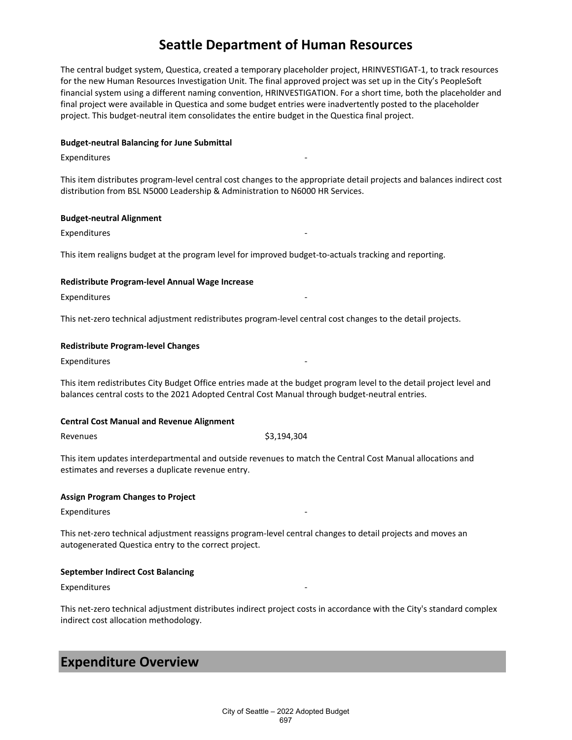The central budget system, Questica, created a temporary placeholder project, HRINVESTIGAT-1, to track resources for the new Human Resources Investigation Unit. The final approved project was set up in the City's PeopleSoft financial system using a different naming convention, HRINVESTIGATION. For a short time, both the placeholder and final project were available in Questica and some budget entries were inadvertently posted to the placeholder project. This budget-neutral item consolidates the entire budget in the Questica final project.

#### **Budget-neutral Balancing for June Submittal**

### **Expenditures**

This item distributes program-level central cost changes to the appropriate detail projects and balances indirect cost distribution from BSL N5000 Leadership & Administration to N6000 HR Services.

### **Budget-neutral Alignment**

**Expenditures** 

This item realigns budget at the program level for improved budget-to-actuals tracking and reporting.

### **Redistribute Program-level Annual Wage Increase**

Expenditures

This net-zero technical adjustment redistributes program-level central cost changes to the detail projects.

#### **Redistribute Program-level Changes**

**Expenditures** 

This item redistributes City Budget Office entries made at the budget program level to the detail project level and balances central costs to the 2021 Adopted Central Cost Manual through budget-neutral entries.

#### **Central Cost Manual and Revenue Alignment**

#### Revenues \$3,194,304

This item updates interdepartmental and outside revenues to match the Central Cost Manual allocations and estimates and reverses a duplicate revenue entry.

### **Assign Program Changes to Project**

**Expenditures** 

This net-zero technical adjustment reassigns program-level central changes to detail projects and moves an autogenerated Questica entry to the correct project.

### **September Indirect Cost Balancing**

**Expenditures** 

This net-zero technical adjustment distributes indirect project costs in accordance with the City's standard complex indirect cost allocation methodology.

### **Expenditure Overview**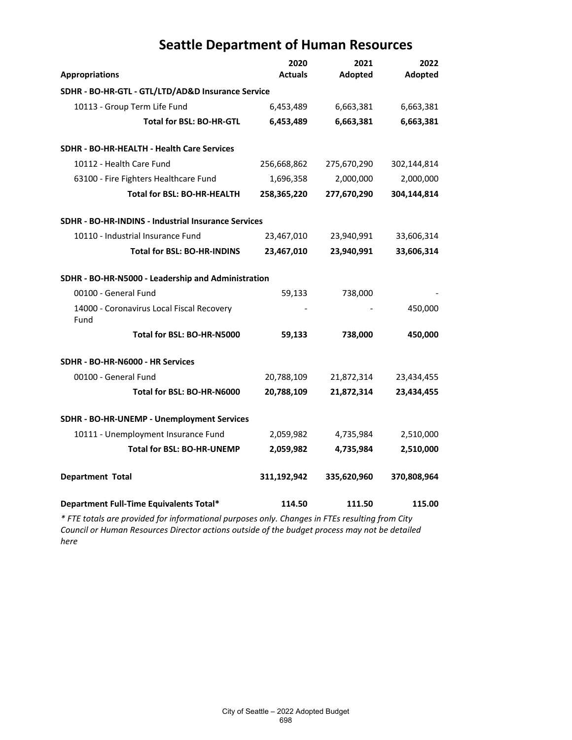|                                                     | 2020           | 2021        | 2022        |
|-----------------------------------------------------|----------------|-------------|-------------|
| <b>Appropriations</b>                               | <b>Actuals</b> | Adopted     | Adopted     |
| SDHR - BO-HR-GTL - GTL/LTD/AD&D Insurance Service   |                |             |             |
| 10113 - Group Term Life Fund                        | 6,453,489      | 6,663,381   | 6,663,381   |
| Total for BSL: BO-HR-GTL                            | 6,453,489      | 6,663,381   | 6,663,381   |
| SDHR - BO-HR-HEALTH - Health Care Services          |                |             |             |
| 10112 - Health Care Fund                            | 256,668,862    | 275,670,290 | 302,144,814 |
| 63100 - Fire Fighters Healthcare Fund               | 1,696,358      | 2,000,000   | 2,000,000   |
| <b>Total for BSL: BO-HR-HEALTH</b>                  | 258,365,220    | 277,670,290 | 304,144,814 |
| SDHR - BO-HR-INDINS - Industrial Insurance Services |                |             |             |
| 10110 - Industrial Insurance Fund                   | 23,467,010     | 23,940,991  | 33,606,314  |
| Total for BSL: BO-HR-INDINS                         | 23,467,010     | 23,940,991  | 33,606,314  |
| SDHR - BO-HR-N5000 - Leadership and Administration  |                |             |             |
| 00100 - General Fund                                | 59,133         | 738,000     |             |
| 14000 - Coronavirus Local Fiscal Recovery<br>Fund   |                |             | 450,000     |
| Total for BSL: BO-HR-N5000                          | 59,133         | 738,000     | 450,000     |
| SDHR - BO-HR-N6000 - HR Services                    |                |             |             |
| 00100 - General Fund                                | 20,788,109     | 21,872,314  | 23,434,455  |
| Total for BSL: BO-HR-N6000                          | 20,788,109     | 21,872,314  | 23,434,455  |
| SDHR - BO-HR-UNEMP - Unemployment Services          |                |             |             |
| 10111 - Unemployment Insurance Fund                 | 2,059,982      | 4,735,984   | 2,510,000   |
| <b>Total for BSL: BO-HR-UNEMP</b>                   | 2,059,982      | 4,735,984   | 2,510,000   |
| <b>Department Total</b>                             | 311,192,942    | 335,620,960 | 370,808,964 |
| Department Full-Time Equivalents Total*             | 114.50         | 111.50      | 115.00      |

*\* FTE totals are provided for informational purposes only. Changes in FTEs resulting from City Council or Human Resources Director actions outside of the budget process may not be detailed here*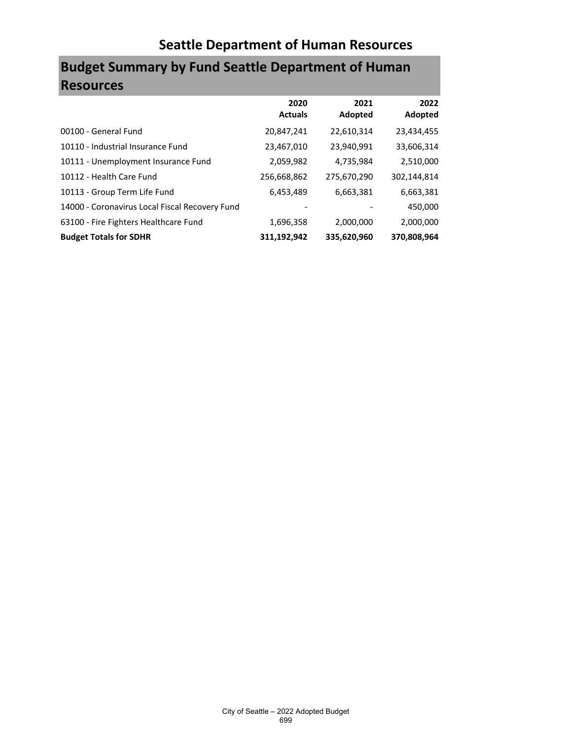# **Budget Summary by Fund Seattle Department of Human Resources**

|                                                | 2020<br><b>Actuals</b> | 2021<br>Adopted | 2022<br>Adopted |
|------------------------------------------------|------------------------|-----------------|-----------------|
| 00100 - General Fund                           | 20,847,241             | 22,610,314      | 23,434,455      |
| 10110 - Industrial Insurance Fund              | 23,467,010             | 23,940,991      | 33,606,314      |
| 10111 - Unemployment Insurance Fund            | 2,059,982              | 4,735,984       | 2,510,000       |
| 10112 - Health Care Fund                       | 256,668,862            | 275,670,290     | 302,144,814     |
| 10113 - Group Term Life Fund                   | 6,453,489              | 6,663,381       | 6,663,381       |
| 14000 - Coronavirus Local Fiscal Recovery Fund |                        |                 | 450,000         |
| 63100 - Fire Fighters Healthcare Fund          | 1,696,358              | 2,000,000       | 2,000,000       |
| <b>Budget Totals for SDHR</b>                  | 311,192,942            | 335,620,960     | 370.808.964     |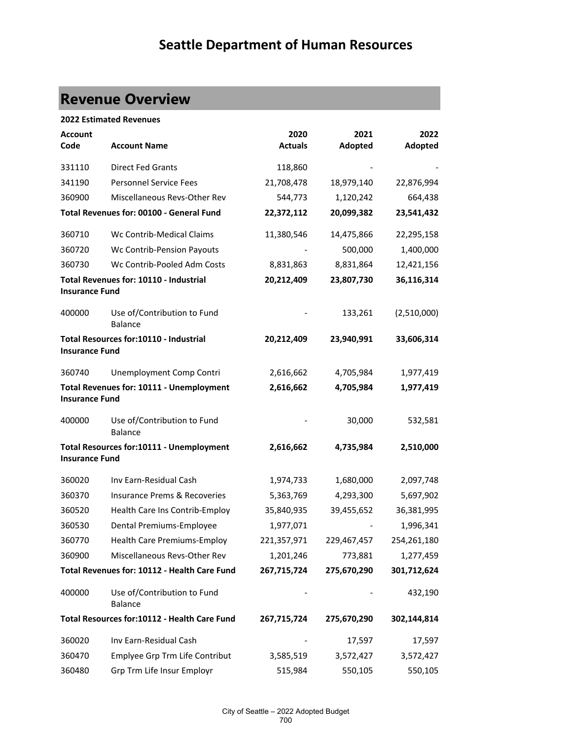# **Revenue Overview**

|                        | <b>2022 Estimated Revenues</b>                |                        |                 |                 |
|------------------------|-----------------------------------------------|------------------------|-----------------|-----------------|
| <b>Account</b><br>Code | <b>Account Name</b>                           | 2020<br><b>Actuals</b> | 2021<br>Adopted | 2022<br>Adopted |
| 331110                 | <b>Direct Fed Grants</b>                      | 118,860                |                 |                 |
| 341190                 | <b>Personnel Service Fees</b>                 | 21,708,478             | 18,979,140      | 22,876,994      |
| 360900                 | Miscellaneous Revs-Other Rev                  | 544,773                | 1,120,242       | 664,438         |
|                        | Total Revenues for: 00100 - General Fund      | 22,372,112             | 20,099,382      | 23,541,432      |
| 360710                 | Wc Contrib-Medical Claims                     | 11,380,546             | 14,475,866      | 22,295,158      |
| 360720                 | Wc Contrib-Pension Payouts                    |                        | 500,000         | 1,400,000       |
| 360730                 | Wc Contrib-Pooled Adm Costs                   | 8,831,863              | 8,831,864       | 12,421,156      |
| <b>Insurance Fund</b>  | Total Revenues for: 10110 - Industrial        | 20,212,409             | 23,807,730      | 36,116,314      |
| 400000                 | Use of/Contribution to Fund<br><b>Balance</b> |                        | 133,261         | (2,510,000)     |
| <b>Insurance Fund</b>  | Total Resources for:10110 - Industrial        | 20,212,409             | 23,940,991      | 33,606,314      |
| 360740                 | Unemployment Comp Contri                      | 2,616,662              | 4,705,984       | 1,977,419       |
| <b>Insurance Fund</b>  | Total Revenues for: 10111 - Unemployment      | 2,616,662              | 4,705,984       | 1,977,419       |
| 400000                 | Use of/Contribution to Fund<br><b>Balance</b> |                        | 30,000          | 532,581         |
| <b>Insurance Fund</b>  | Total Resources for:10111 - Unemployment      | 2,616,662              | 4,735,984       | 2,510,000       |
| 360020                 | Inv Earn-Residual Cash                        | 1,974,733              | 1,680,000       | 2,097,748       |
| 360370                 | <b>Insurance Prems &amp; Recoveries</b>       | 5,363,769              | 4,293,300       | 5,697,902       |
| 360520                 | Health Care Ins Contrib-Employ                | 35,840,935             | 39,455,652      | 36,381,995      |
| 360530                 | Dental Premiums-Employee                      | 1,977,071              |                 | 1,996,341       |
| 360770                 | <b>Health Care Premiums-Employ</b>            | 221,357,971            | 229,467,457     | 254,261,180     |
| 360900                 | Miscellaneous Revs-Other Rev                  | 1,201,246              | 773,881         | 1,277,459       |
|                        | Total Revenues for: 10112 - Health Care Fund  | 267,715,724            | 275,670,290     | 301,712,624     |
| 400000                 | Use of/Contribution to Fund<br><b>Balance</b> |                        |                 | 432,190         |
|                        | Total Resources for:10112 - Health Care Fund  | 267,715,724            | 275,670,290     | 302,144,814     |
| 360020                 | Inv Earn-Residual Cash                        |                        | 17,597          | 17,597          |
| 360470                 | Emplyee Grp Trm Life Contribut                | 3,585,519              | 3,572,427       | 3,572,427       |
| 360480                 | Grp Trm Life Insur Employr                    | 515,984                | 550,105         | 550,105         |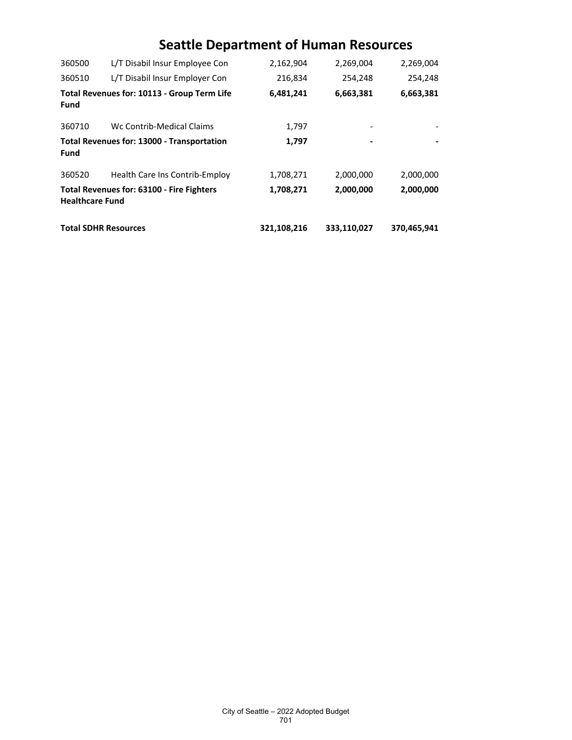| 360500                      | L/T Disabil Insur Employee Con              | 2,162,904   | 2,269,004   | 2,269,004   |
|-----------------------------|---------------------------------------------|-------------|-------------|-------------|
| 360510                      | L/T Disabil Insur Employer Con              | 216,834     | 254,248     | 254,248     |
| Fund                        | Total Revenues for: 10113 - Group Term Life | 6,481,241   | 6,663,381   | 6,663,381   |
| 360710                      | Wc Contrib-Medical Claims                   | 1,797       |             |             |
| Fund                        | Total Revenues for: 13000 - Transportation  | 1,797       |             |             |
| 360520                      | Health Care Ins Contrib-Employ              | 1,708,271   | 2,000,000   | 2,000,000   |
| <b>Healthcare Fund</b>      | Total Revenues for: 63100 - Fire Fighters   | 1,708,271   | 2,000,000   | 2,000,000   |
| <b>Total SDHR Resources</b> |                                             | 321,108,216 | 333,110,027 | 370,465,941 |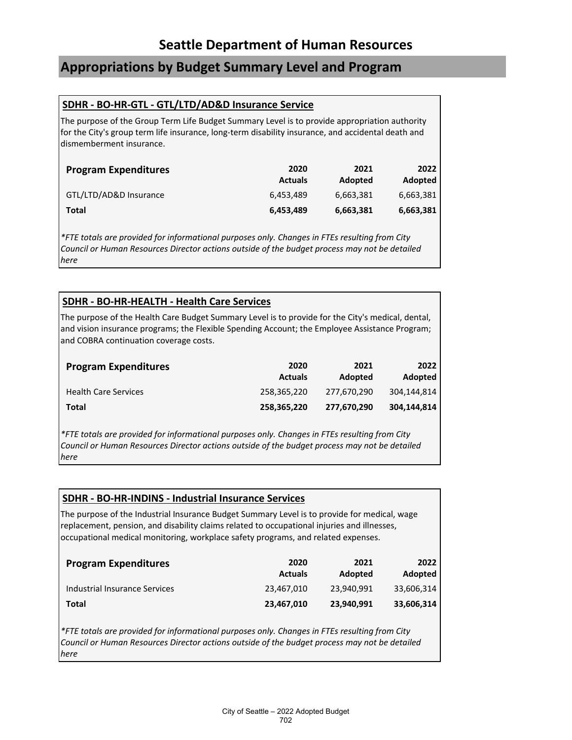## **Appropriations by Budget Summary Level and Program**

### **SDHR - BO-HR-GTL - GTL/LTD/AD&D Insurance Service**

The purpose of the Group Term Life Budget Summary Level is to provide appropriation authority for the City's group term life insurance, long-term disability insurance, and accidental death and dismemberment insurance.

| <b>Program Expenditures</b> | 2020<br><b>Actuals</b> | 2021<br>Adopted | 2022<br>Adopted |
|-----------------------------|------------------------|-----------------|-----------------|
| GTL/LTD/AD&D Insurance      | 6.453.489              | 6,663,381       | 6,663,381       |
| Total                       | 6,453,489              | 6,663,381       | 6,663,381       |

*\*FTE totals are provided for informational purposes only. Changes in FTEs resulting from City Council or Human Resources Director actions outside of the budget process may not be detailed here*

### **SDHR - BO-HR-HEALTH - Health Care Services**

The purpose of the Health Care Budget Summary Level is to provide for the City's medical, dental, and vision insurance programs; the Flexible Spending Account; the Employee Assistance Program; and COBRA continuation coverage costs.

| <b>Program Expenditures</b> | 2020<br><b>Actuals</b> | 2021<br>Adopted | 2022<br>Adopted |
|-----------------------------|------------------------|-----------------|-----------------|
| <b>Health Care Services</b> | 258.365.220            | 277.670.290     | 304.144.814     |
| Total                       | 258,365,220            | 277,670,290     | 304,144,814     |

*\*FTE totals are provided for informational purposes only. Changes in FTEs resulting from City Council or Human Resources Director actions outside of the budget process may not be detailed here*

### **SDHR - BO-HR-INDINS - Industrial Insurance Services**

The purpose of the Industrial Insurance Budget Summary Level is to provide for medical, wage replacement, pension, and disability claims related to occupational injuries and illnesses, occupational medical monitoring, workplace safety programs, and related expenses.

| <b>Program Expenditures</b>   | 2020<br><b>Actuals</b> | 2021<br>Adopted | 2022<br>Adopted |
|-------------------------------|------------------------|-----------------|-----------------|
| Industrial Insurance Services | 23.467.010             | 23.940.991      | 33.606.314      |
| Total                         | 23,467,010             | 23,940,991      | 33,606,314      |

*\*FTE totals are provided for informational purposes only. Changes in FTEs resulting from City Council or Human Resources Director actions outside of the budget process may not be detailed here*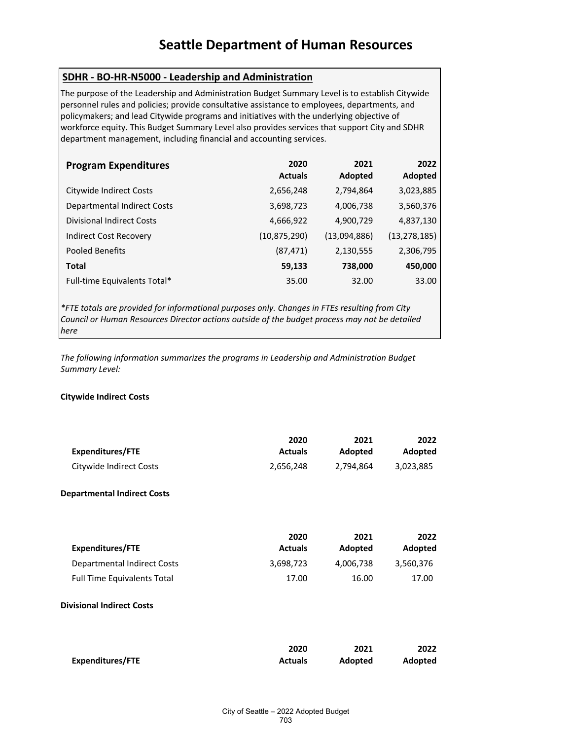### **SDHR - BO-HR-N5000 - Leadership and Administration**

The purpose of the Leadership and Administration Budget Summary Level is to establish Citywide personnel rules and policies; provide consultative assistance to employees, departments, and policymakers; and lead Citywide programs and initiatives with the underlying objective of workforce equity. This Budget Summary Level also provides services that support City and SDHR department management, including financial and accounting services.

| <b>Program Expenditures</b>        | 2020<br><b>Actuals</b> | 2021<br>Adopted | 2022<br>Adopted |
|------------------------------------|------------------------|-----------------|-----------------|
| Citywide Indirect Costs            | 2,656,248              | 2,794,864       | 3,023,885       |
| <b>Departmental Indirect Costs</b> | 3,698,723              | 4,006,738       | 3,560,376       |
| <b>Divisional Indirect Costs</b>   | 4,666,922              | 4,900,729       | 4,837,130       |
| Indirect Cost Recovery             | (10, 875, 290)         | (13,094,886)    | (13, 278, 185)  |
| Pooled Benefits                    | (87, 471)              | 2,130,555       | 2,306,795       |
| <b>Total</b>                       | 59,133                 | 738,000         | 450,000         |
| Full-time Equivalents Total*       | 35.00                  | 32.00           | 33.00           |

*\*FTE totals are provided for informational purposes only. Changes in FTEs resulting from City Council or Human Resources Director actions outside of the budget process may not be detailed here*

*The following information summarizes the programs in Leadership and Administration Budget Summary Level:*

### **Citywide Indirect Costs**

| Expenditures/FTE        | 2020           | 2021      | 2022      |
|-------------------------|----------------|-----------|-----------|
|                         | <b>Actuals</b> | Adopted   | Adopted   |
| Citywide Indirect Costs | 2,656,248      | 2.794.864 | 3,023,885 |

### **Departmental Indirect Costs**

|                                    | 2020           | 2021      | 2022      |
|------------------------------------|----------------|-----------|-----------|
| Expenditures/FTE                   | <b>Actuals</b> | Adopted   | Adopted   |
| Departmental Indirect Costs        | 3,698,723      | 4,006,738 | 3,560,376 |
| <b>Full Time Equivalents Total</b> | 17.00          | 16.00     | 17.00     |

### **Divisional Indirect Costs**

|                         | 2020           | 2021           | 2022    |
|-------------------------|----------------|----------------|---------|
| <b>Expenditures/FTE</b> | <b>Actuals</b> | <b>Adopted</b> | Adopted |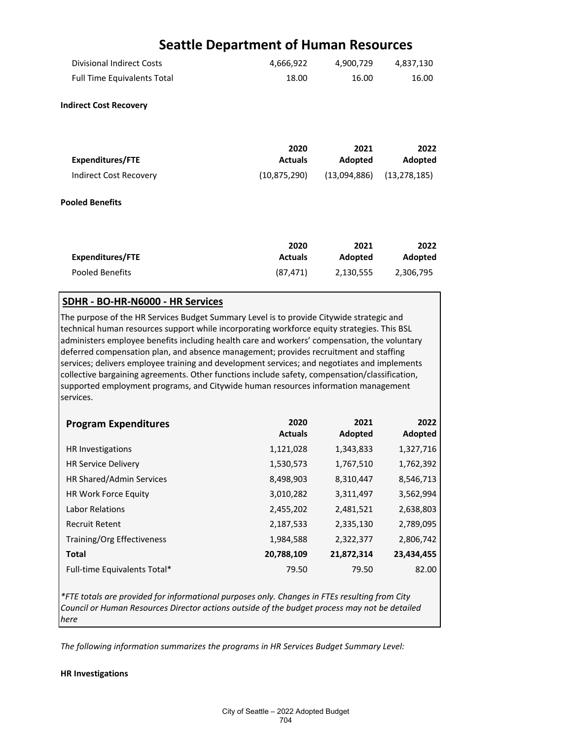|                                                                                                                              | <b>Seattle Department of Human Resources</b> |                      |                      |
|------------------------------------------------------------------------------------------------------------------------------|----------------------------------------------|----------------------|----------------------|
| <b>Divisional Indirect Costs</b>                                                                                             | 4,666,922                                    | 4,900,729            | 4,837,130            |
| <b>Full Time Equivalents Total</b>                                                                                           | 18.00                                        | 16.00                | 16.00                |
| <b>Indirect Cost Recovery</b>                                                                                                |                                              |                      |                      |
| <b>Expenditures/FTE</b>                                                                                                      | 2020<br><b>Actuals</b>                       | 2021<br>Adopted      | 2022<br>Adopted      |
| <b>Indirect Cost Recovery</b>                                                                                                | (10, 875, 290)                               | (13,094,886)         | (13, 278, 185)       |
| <b>Pooled Benefits</b>                                                                                                       |                                              |                      |                      |
| <b>Expenditures/FTE</b>                                                                                                      | 2020<br><b>Actuals</b>                       | 2021                 | 2022                 |
| Pooled Benefits                                                                                                              | (87, 471)                                    | Adopted<br>2,130,555 | Adopted<br>2,306,795 |
| SDHR - BO-HR-N6000 - HR Services<br>The purpose of the HR Services Budget Summary Level is to provide Citywide strategic and |                                              |                      |                      |
| , as secondo a construction of the composition conditioner a control director of the ACI.                                    |                                              |                      |                      |

technical human resources support while incorporating workforce equity strategies. This BSL administers employee benefits including health care and workers' compensation, the voluntary deferred compensation plan, and absence management; provides recruitment and staffing services; delivers employee training and development services; and negotiates and implements collective bargaining agreements. Other functions include safety, compensation/classification, supported employment programs, and Citywide human resources information management services.

| <b>Program Expenditures</b>     | 2020<br><b>Actuals</b> | 2021<br>Adopted | 2022<br>Adopted |
|---------------------------------|------------------------|-----------------|-----------------|
| HR Investigations               | 1,121,028              | 1,343,833       | 1,327,716       |
| <b>HR Service Delivery</b>      | 1,530,573              | 1,767,510       | 1,762,392       |
| <b>HR Shared/Admin Services</b> | 8,498,903              | 8,310,447       | 8,546,713       |
| HR Work Force Equity            | 3,010,282              | 3,311,497       | 3,562,994       |
| <b>Labor Relations</b>          | 2,455,202              | 2,481,521       | 2,638,803       |
| <b>Recruit Retent</b>           | 2,187,533              | 2,335,130       | 2,789,095       |
| Training/Org Effectiveness      | 1,984,588              | 2,322,377       | 2,806,742       |
| <b>Total</b>                    | 20,788,109             | 21,872,314      | 23,434,455      |
| Full-time Equivalents Total*    | 79.50                  | 79.50           | 82.00           |

*\*FTE totals are provided for informational purposes only. Changes in FTEs resulting from City Council or Human Resources Director actions outside of the budget process may not be detailed here*

*The following information summarizes the programs in HR Services Budget Summary Level:*

### **HR Investigations**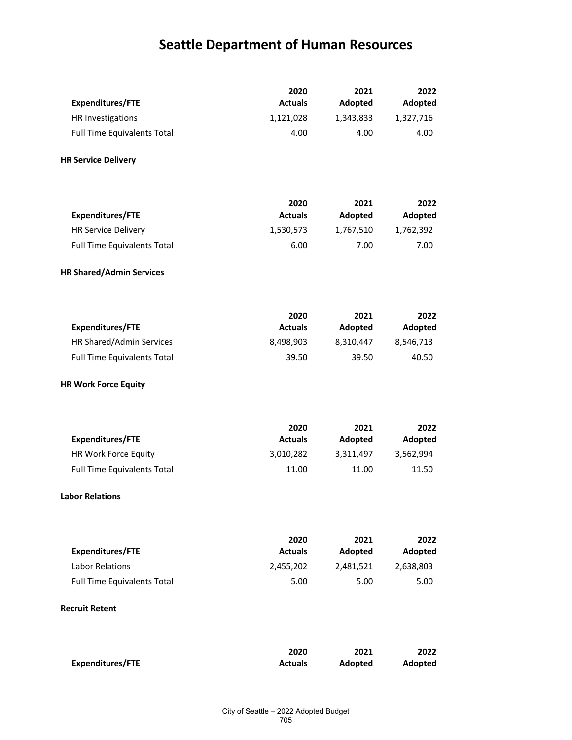| <b>Expenditures/FTE</b>                           | 2020<br><b>Actuals</b> | 2021                 | 2022                 |
|---------------------------------------------------|------------------------|----------------------|----------------------|
| HR Investigations                                 | 1,121,028              | Adopted<br>1,343,833 | Adopted<br>1,327,716 |
| <b>Full Time Equivalents Total</b>                | 4.00                   | 4.00                 | 4.00                 |
|                                                   |                        |                      |                      |
| <b>HR Service Delivery</b>                        |                        |                      |                      |
|                                                   |                        |                      |                      |
|                                                   | 2020                   | 2021                 | 2022                 |
| <b>Expenditures/FTE</b>                           | <b>Actuals</b>         | Adopted              | Adopted              |
| <b>HR Service Delivery</b>                        | 1,530,573              | 1,767,510            | 1,762,392            |
| <b>Full Time Equivalents Total</b>                | 6.00                   | 7.00                 | 7.00                 |
| <b>HR Shared/Admin Services</b>                   |                        |                      |                      |
|                                                   |                        |                      |                      |
|                                                   | 2020                   | 2021                 | 2022                 |
| <b>Expenditures/FTE</b>                           | <b>Actuals</b>         | Adopted              | Adopted              |
| HR Shared/Admin Services                          | 8,498,903              | 8,310,447            | 8,546,713            |
| <b>Full Time Equivalents Total</b>                | 39.50                  | 39.50                | 40.50                |
| <b>HR Work Force Equity</b>                       |                        |                      |                      |
|                                                   |                        |                      |                      |
| <b>Expenditures/FTE</b>                           | 2020<br><b>Actuals</b> | 2021<br>Adopted      | 2022<br>Adopted      |
| HR Work Force Equity                              | 3,010,282              | 3,311,497            | 3,562,994            |
| <b>Full Time Equivalents Total</b>                | 11.00                  | 11.00                | 11.50                |
|                                                   |                        |                      |                      |
| <b>Labor Relations</b>                            |                        |                      |                      |
|                                                   |                        |                      |                      |
|                                                   | 2020                   | 2021                 | 2022                 |
| <b>Expenditures/FTE</b><br><b>Labor Relations</b> | <b>Actuals</b>         | Adopted              | Adopted              |
|                                                   | 2,455,202              | 2,481,521            | 2,638,803            |
| <b>Full Time Equivalents Total</b>                | 5.00                   | 5.00                 | 5.00                 |
| <b>Recruit Retent</b>                             |                        |                      |                      |

|                  | 2020           | 2021           | 2022    |
|------------------|----------------|----------------|---------|
| Expenditures/FTE | <b>Actuals</b> | <b>Adopted</b> | Adopted |